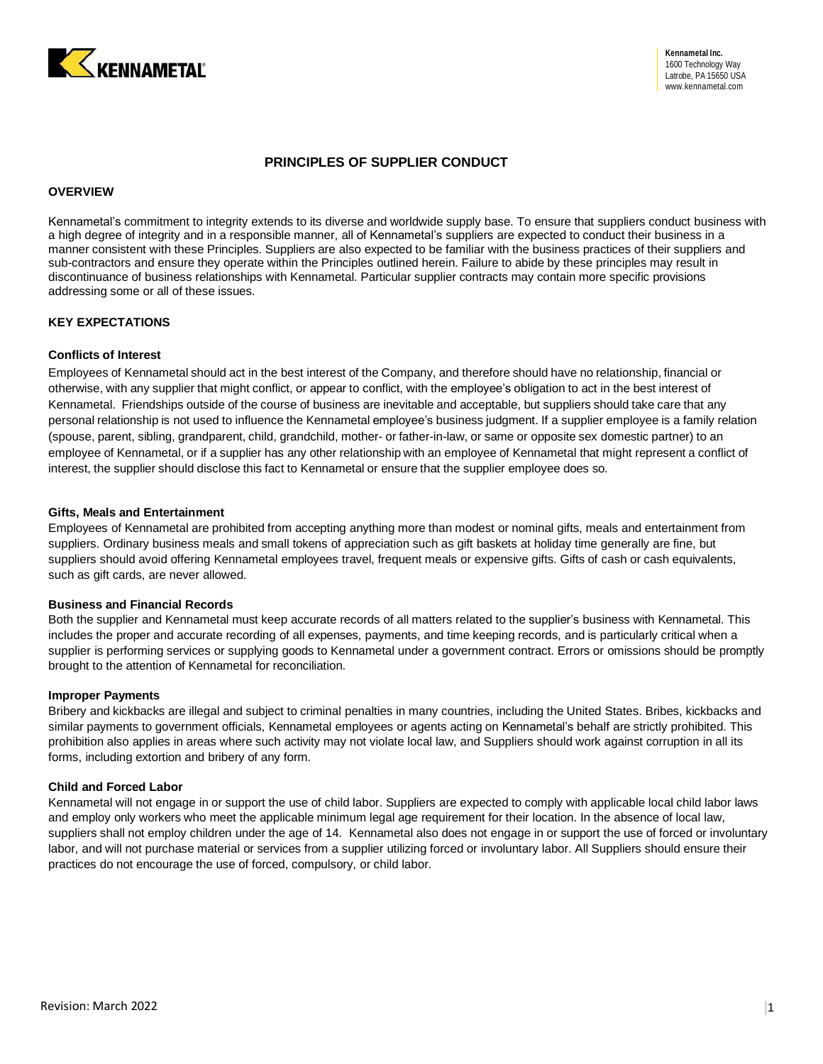

# **PRINCIPLES OF SUPPLIER CONDUCT**

### **OVERVIEW**

Kennametal's commitment to integrity extends to its diverse and worldwide supply base. To ensure that suppliers conduct business with a high degree of integrity and in a responsible manner, all of Kennametal's suppliers are expected to conduct their business in a manner consistent with these Principles. Suppliers are also expected to be familiar with the business practices of their suppliers and sub-contractors and ensure they operate within the Principles outlined herein. Failure to abide by these principles may result in discontinuance of business relationships with Kennametal. Particular supplier contracts may contain more specific provisions addressing some or all of these issues.

### **KEY EXPECTATIONS**

# **Conflicts of Interest**

Employees of Kennametal should act in the best interest of the Company, and therefore should have no relationship, financial or otherwise, with any supplier that might conflict, or appear to conflict, with the employee's obligation to act in the best interest of Kennametal. Friendships outside of the course of business are inevitable and acceptable, but suppliers should take care that any personal relationship is not used to influence the Kennametal employee's business judgment. If a supplier employee is a family relation (spouse, parent, sibling, grandparent, child, grandchild, mother- or father-in-law, or same or opposite sex domestic partner) to an employee of Kennametal, or if a supplier has any other relationship with an employee of Kennametal that might represent a conflict of interest, the supplier should disclose this fact to Kennametal or ensure that the supplier employee does so.

#### **Gifts, Meals and Entertainment**

Employees of Kennametal are prohibited from accepting anything more than modest or nominal gifts, meals and entertainment from suppliers. Ordinary business meals and small tokens of appreciation such as gift baskets at holiday time generally are fine, but suppliers should avoid offering Kennametal employees travel, frequent meals or expensive gifts. Gifts of cash or cash equivalents, such as gift cards, are never allowed.

#### **Business and Financial Records**

Both the supplier and Kennametal must keep accurate records of all matters related to the supplier's business with Kennametal. This includes the proper and accurate recording of all expenses, payments, and time keeping records, and is particularly critical when a supplier is performing services or supplying goods to Kennametal under a government contract. Errors or omissions should be promptly brought to the attention of Kennametal for reconciliation.

#### **Improper Payments**

Bribery and kickbacks are illegal and subject to criminal penalties in many countries, including the United States. Bribes, kickbacks and similar payments to government officials, Kennametal employees or agents acting on Kennametal's behalf are strictly prohibited. This prohibition also applies in areas where such activity may not violate local law, and Suppliers should work against corruption in all its forms, including extortion and bribery of any form.

#### **Child and Forced Labor**

Kennametal will not engage in or support the use of child labor. Suppliers are expected to comply with applicable local child labor laws and employ only workers who meet the applicable minimum legal age requirement for their location. In the absence of local law, suppliers shall not employ children under the age of 14. Kennametal also does not engage in or support the use of forced or involuntary labor, and will not purchase material or services from a supplier utilizing forced or involuntary labor. All Suppliers should ensure their practices do not encourage the use of forced, compulsory, or child labor.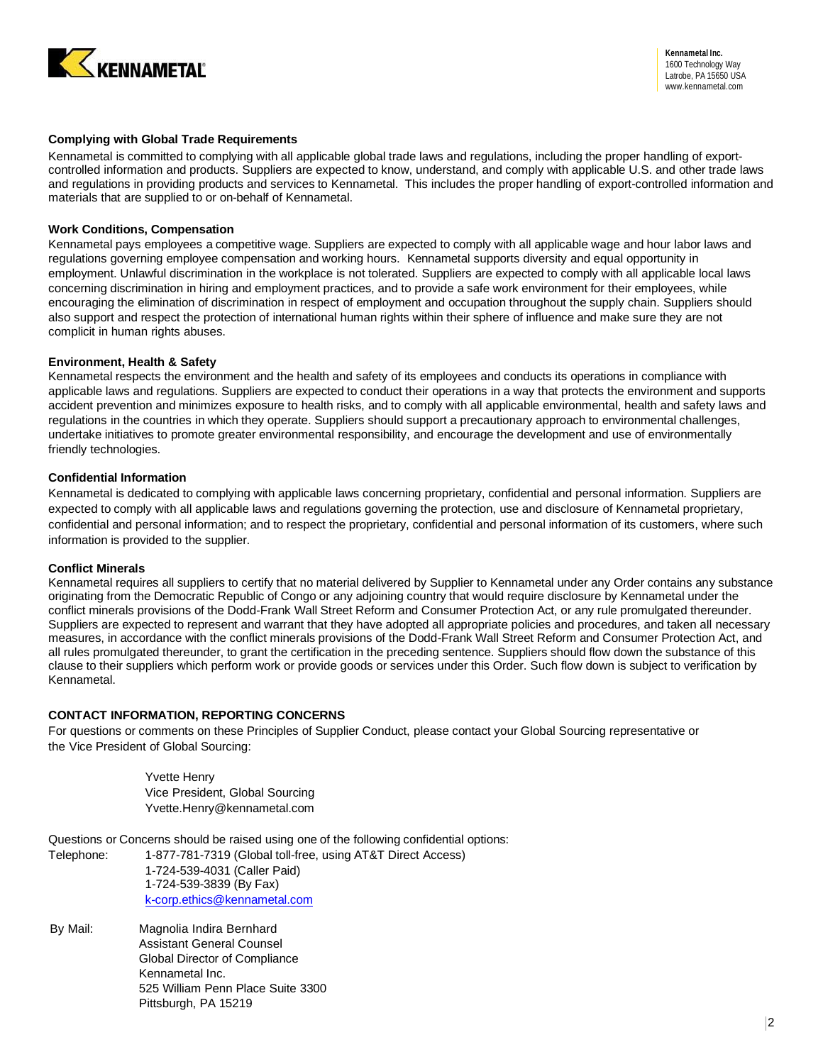

# **Complying with Global Trade Requirements**

Kennametal is committed to complying with all applicable global trade laws and regulations, including the proper handling of exportcontrolled information and products. Suppliers are expected to know, understand, and comply with applicable U.S. and other trade laws and regulations in providing products and services to Kennametal. This includes the proper handling of export-controlled information and materials that are supplied to or on-behalf of Kennametal.

# **Work Conditions, Compensation**

Kennametal pays employees a competitive wage. Suppliers are expected to comply with all applicable wage and hour labor laws and regulations governing employee compensation and working hours. Kennametal supports diversity and equal opportunity in employment. Unlawful discrimination in the workplace is not tolerated. Suppliers are expected to comply with all applicable local laws concerning discrimination in hiring and employment practices, and to provide a safe work environment for their employees, while encouraging the elimination of discrimination in respect of employment and occupation throughout the supply chain. Suppliers should also support and respect the protection of international human rights within their sphere of influence and make sure they are not complicit in human rights abuses.

# **Environment, Health & Safety**

Kennametal respects the environment and the health and safety of its employees and conducts its operations in compliance with applicable laws and regulations. Suppliers are expected to conduct their operations in a way that protects the environment and supports accident prevention and minimizes exposure to health risks, and to comply with all applicable environmental, health and safety laws and regulations in the countries in which they operate. Suppliers should support a precautionary approach to environmental challenges, undertake initiatives to promote greater environmental responsibility, and encourage the development and use of environmentally friendly technologies.

### **Confidential Information**

Kennametal is dedicated to complying with applicable laws concerning proprietary, confidential and personal information. Suppliers are expected to comply with all applicable laws and regulations governing the protection, use and disclosure of Kennametal proprietary, confidential and personal information; and to respect the proprietary, confidential and personal information of its customers, where such information is provided to the supplier.

# **Conflict Minerals**

Kennametal requires all suppliers to certify that no material delivered by Supplier to Kennametal under any Order contains any substance originating from the Democratic Republic of Congo or any adjoining country that would require disclosure by Kennametal under the conflict minerals provisions of the Dodd-Frank Wall Street Reform and Consumer Protection Act, or any rule promulgated thereunder. Suppliers are expected to represent and warrant that they have adopted all appropriate policies and procedures, and taken all necessary measures, in accordance with the conflict minerals provisions of the Dodd-Frank Wall Street Reform and Consumer Protection Act, and all rules promulgated thereunder, to grant the certification in the preceding sentence. Suppliers should flow down the substance of this clause to their suppliers which perform work or provide goods or services under this Order. Such flow down is subject to verification by Kennametal.

# **CONTACT INFORMATION, REPORTING CONCERNS**

For questions or comments on these Principles of Supplier Conduct, please contact your Global Sourcing representative or the Vice President of Global Sourcing:

> Yvette Henry Vice President, Global Sourcing [Yvette.Henry@kennametal.com](mailto:Yvette.Henry@kennametal.com)

Questions or Concerns should be raised using one of the following confidential options:

Telephone: 1-877-781-7319 (Global toll-free, using AT&T Direct Access) 1-724-539-4031 (Caller Paid) 1-724-539-3839 (By Fax) [k-corp.ethics@kennametal.com](mailto:k-corp.ethics@kennametal.com)

By Mail: Magnolia Indira Bernhard Assistant General Counsel Global Director of Compliance Kennametal Inc. 525 William Penn Place Suite 3300 Pittsburgh, PA 15219